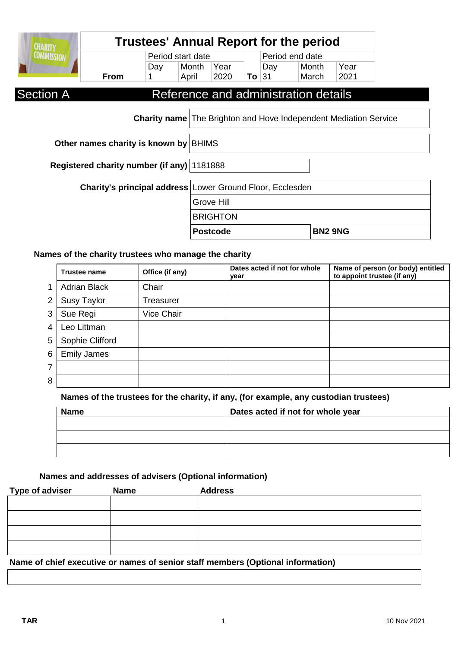| <b>CHARITY</b>                                                          | <b>Trustees' Annual Report for the period</b> |     |                                                           |                 |         |                 |                                      |                |  |
|-------------------------------------------------------------------------|-----------------------------------------------|-----|-----------------------------------------------------------|-----------------|---------|-----------------|--------------------------------------|----------------|--|
| <b>COMMISSION</b>                                                       | Period start date                             |     |                                                           |                 |         | Period end date |                                      |                |  |
|                                                                         |                                               | Day | Month                                                     | Year            |         | Day             | Month                                | Year           |  |
|                                                                         | <b>From</b>                                   |     | April                                                     | 2020            | To $31$ |                 | March                                | 2021           |  |
| <b>Section A</b>                                                        |                                               |     |                                                           |                 |         |                 | Reference and administration details |                |  |
| <b>Charity name</b> The Brighton and Hove Independent Mediation Service |                                               |     |                                                           |                 |         |                 |                                      |                |  |
| Other names charity is known by BHIMS                                   |                                               |     |                                                           |                 |         |                 |                                      |                |  |
| Registered charity number (if any) 1181888                              |                                               |     |                                                           |                 |         |                 |                                      |                |  |
|                                                                         |                                               |     | Charity's principal address Lower Ground Floor, Ecclesden |                 |         |                 |                                      |                |  |
| Grove Hill                                                              |                                               |     |                                                           |                 |         |                 |                                      |                |  |
|                                                                         |                                               |     | <b>BRIGHTON</b>                                           |                 |         |                 |                                      |                |  |
|                                                                         |                                               |     |                                                           | <b>Postcode</b> |         |                 |                                      | <b>BN2 9NG</b> |  |

### **Names of the charity trustees who manage the charity**

|                | <b>Trustee name</b> | Office (if any) | Dates acted if not for whole<br>year | Name of person (or body) entitled<br>to appoint trustee (if any) |
|----------------|---------------------|-----------------|--------------------------------------|------------------------------------------------------------------|
| 1              | <b>Adrian Black</b> | Chair           |                                      |                                                                  |
| $\overline{2}$ | <b>Susy Taylor</b>  | Treasurer       |                                      |                                                                  |
| 3              | Sue Regi            | Vice Chair      |                                      |                                                                  |
| 4              | Leo Littman         |                 |                                      |                                                                  |
| 5              | Sophie Clifford     |                 |                                      |                                                                  |
| 6              | <b>Emily James</b>  |                 |                                      |                                                                  |
| 7              |                     |                 |                                      |                                                                  |
| 8              |                     |                 |                                      |                                                                  |

**Names of the trustees for the charity, if any, (for example, any custodian trustees)**

| <b>Name</b> | Dates acted if not for whole year |
|-------------|-----------------------------------|
|             |                                   |
|             |                                   |
|             |                                   |

**Names and addresses of advisers (Optional information)**

| <b>Type of adviser</b>                                                          | <b>Name</b> | <b>Address</b> |  |
|---------------------------------------------------------------------------------|-------------|----------------|--|
|                                                                                 |             |                |  |
|                                                                                 |             |                |  |
|                                                                                 |             |                |  |
|                                                                                 |             |                |  |
| Name of chief executive or names of senior staff members (Optional information) |             |                |  |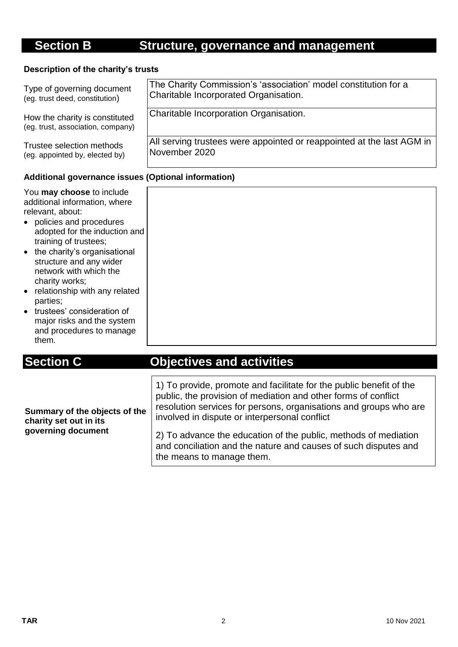## **Section B Structure, governance and management**

#### **Description of the charity's trusts**

| Type of governing document                                          | The Charity Commission's 'association' model constitution for a       |  |  |
|---------------------------------------------------------------------|-----------------------------------------------------------------------|--|--|
| (eg. trust deed, constitution)                                      | Charitable Incorporated Organisation.                                 |  |  |
| How the charity is constituted<br>(eg. trust, association, company) | Charitable Incorporation Organisation.                                |  |  |
| Trustee selection methods                                           | All serving trustees were appointed or reappointed at the last AGM in |  |  |
| (eg. appointed by, elected by)                                      | November 2020                                                         |  |  |
|                                                                     |                                                                       |  |  |

#### **Additional governance issues (Optional information)**

You **may choose** to include additional information, where relevant, about:

- policies and procedures adopted for the induction and training of trustees;
- the charity's organisational structure and any wider network with which the charity works;
- relationship with any related parties;
- trustees' consideration of major risks and the system and procedures to manage them.

## **Section C Objectives and activities**

| Summary of the objects of the<br>charity set out in its | 1) To provide, promote and facilitate for the public benefit of the<br>public, the provision of mediation and other forms of conflict<br>resolution services for persons, organisations and groups who are<br>involved in dispute or interpersonal conflict |
|---------------------------------------------------------|-------------------------------------------------------------------------------------------------------------------------------------------------------------------------------------------------------------------------------------------------------------|
| governing document                                      | 2) To advance the education of the public, methods of mediation<br>and conciliation and the nature and causes of such disputes and<br>the means to manage them.                                                                                             |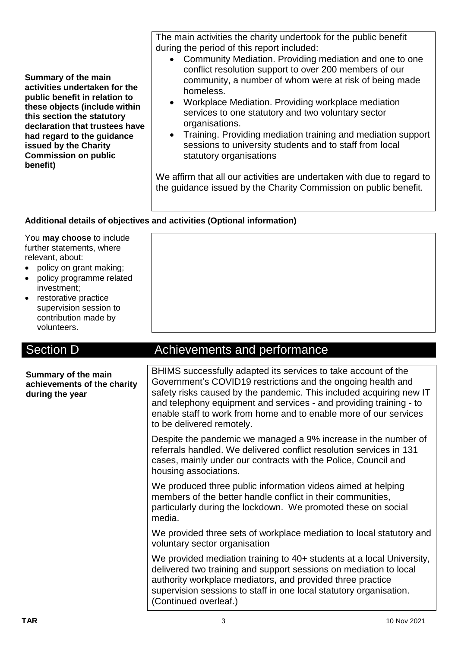**Summary of the main activities undertaken for the public benefit in relation to these objects (include within this section the statutory declaration that trustees have had regard to the guidance issued by the Charity Commission on public benefit)**

The main activities the charity undertook for the public benefit during the period of this report included:

- Community Mediation. Providing mediation and one to one conflict resolution support to over 200 members of our community, a number of whom were at risk of being made homeless.
- Workplace Mediation. Providing workplace mediation services to one statutory and two voluntary sector organisations.
- Training. Providing mediation training and mediation support sessions to university students and to staff from local statutory organisations

We affirm that all our activities are undertaken with due to regard to the guidance issued by the Charity Commission on public benefit.

#### **Additional details of objectives and activities (Optional information)**

You **may choose** to include further statements, where relevant, about:

- policy on grant making;
- policy programme related investment;
- restorative practice supervision session to contribution made by volunteers.

### Section D **Achievements** and performance

| Summary of the main<br>achievements of the charity<br>during the year | BHIMS successfully adapted its services to take account of the<br>Government's COVID19 restrictions and the ongoing health and<br>safety risks caused by the pandemic. This included acquiring new IT<br>and telephony equipment and services - and providing training - to<br>enable staff to work from home and to enable more of our services<br>to be delivered remotely. |  |  |
|-----------------------------------------------------------------------|-------------------------------------------------------------------------------------------------------------------------------------------------------------------------------------------------------------------------------------------------------------------------------------------------------------------------------------------------------------------------------|--|--|
|                                                                       | Despite the pandemic we managed a 9% increase in the number of<br>referrals handled. We delivered conflict resolution services in 131<br>cases, mainly under our contracts with the Police, Council and<br>housing associations.                                                                                                                                              |  |  |
|                                                                       | We produced three public information videos aimed at helping<br>members of the better handle conflict in their communities,<br>particularly during the lockdown. We promoted these on social<br>media.                                                                                                                                                                        |  |  |
|                                                                       | We provided three sets of workplace mediation to local statutory and<br>voluntary sector organisation                                                                                                                                                                                                                                                                         |  |  |
|                                                                       | We provided mediation training to 40+ students at a local University,<br>delivered two training and support sessions on mediation to local<br>authority workplace mediators, and provided three practice<br>supervision sessions to staff in one local statutory organisation.<br>(Continued overleaf.)                                                                       |  |  |